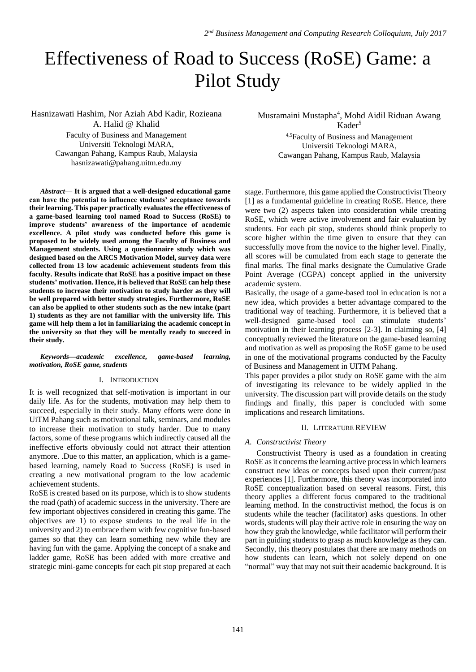# Effectiveness of Road to Success (RoSE) Game: a Pilot Study

Hasnizawati Hashim, Nor Aziah Abd Kadir, Rozieana A. Halid @ Khalid

Faculty of Business and Management Universiti Teknologi MARA, Cawangan Pahang, Kampus Raub, Malaysia [hasnizawati@pahang.uitm.edu.my](mailto:hasnizawati@pahang.uitm.edu.my)

*Abstract***— It is argued that a well-designed educational game can have the potential to influence students' acceptance towards their learning. This paper practically evaluates the effectiveness of a game-based learning tool named Road to Success (RoSE) to improve students' awareness of the importance of academic excellence. A pilot study was conducted before this game is proposed to be widely used among the Faculty of Business and Management students. Using a questionnaire study which was designed based on the ARCS Motivation Model, survey data were collected from 13 low academic achievement students from this faculty. Results indicate that RoSE has a positive impact on these students' motivation. Hence, it is believed that RoSE can help these students to increase their motivation to study harder as they will be well prepared with better study strategies. Furthermore, RoSE can also be applied to other students such as the new intake (part 1) students as they are not familiar with the university life. This game will help them a lot in familiarizing the academic concept in the university so that they will be mentally ready to succeed in their study.**

## *Keywords—academic excellence, game-based learning, motivation, RoSE game, students*

## I. INTRODUCTION

It is well recognized that self-motivation is important in our daily life. As for the students, motivation may help them to succeed, especially in their study. Many efforts were done in UiTM Pahang such as motivational talk, seminars, and modules to increase their motivation to study harder. Due to many factors, some of these programs which indirectly caused all the ineffective efforts obviously could not attract their attention anymore. .Due to this matter, an application, which is a gamebased learning, namely Road to Success (RoSE) is used in creating a new motivational program to the low academic achievement students.

RoSE is created based on its purpose, which is to show students the road (path) of academic success in the university. There are few important objectives considered in creating this game. The objectives are 1) to expose students to the real life in the university and 2) to embrace them with few cognitive fun-based games so that they can learn something new while they are having fun with the game. Applying the concept of a snake and ladder game, RoSE has been added with more creative and strategic mini-game concepts for each pit stop prepared at each Musramaini Mustapha<sup>4</sup>, Mohd Aidil Riduan Awang

 $Kader<sup>5</sup>$ 4,5Faculty of Business and Management Universiti Teknologi MARA, Cawangan Pahang, Kampus Raub, Malaysia

stage. Furthermore, this game applied the Constructivist Theory [1] as a fundamental guideline in creating RoSE. Hence, there were two (2) aspects taken into consideration while creating RoSE, which were active involvement and fair evaluation by students. For each pit stop, students should think properly to score higher within the time given to ensure that they can successfully move from the novice to the higher level. Finally, all scores will be cumulated from each stage to generate the final marks. The final marks designate the Cumulative Grade Point Average (CGPA) concept applied in the university academic system.

Basically, the usage of a game-based tool in education is not a new idea, which provides a better advantage compared to the traditional way of teaching. Furthermore, it is believed that a well-designed game-based tool can stimulate students' motivation in their learning process [2-3]. In claiming so, [4] conceptually reviewed the literature on the game-based learning and motivation as well as proposing the RoSE game to be used in one of the motivational programs conducted by the Faculty of Business and Management in UITM Pahang.

This paper provides a pilot study on RoSE game with the aim of investigating its relevance to be widely applied in the university. The discussion part will provide details on the study findings and finally, this paper is concluded with some implications and research limitations.

# II. LITERATURE REVIEW

# *A. Constructivist Theory*

Constructivist Theory is used as a foundation in creating RoSE as it concerns the learning active process in which learners construct new ideas or concepts based upon their current/past experiences [1]. Furthermore, this theory was incorporated into RoSE conceptualization based on several reasons. First, this theory applies a different focus compared to the traditional learning method. In the constructivist method, the focus is on students while the teacher (facilitator) asks questions. In other words, students will play their active role in ensuring the way on how they grab the knowledge, while facilitator will perform their part in guiding students to grasp as much knowledge as they can. Secondly, this theory postulates that there are many methods on how students can learn, which not solely depend on one "normal" way that may not suit their academic background. It is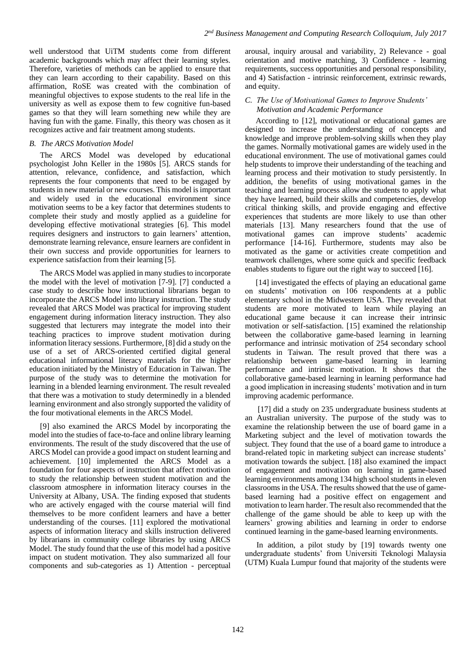well understood that UiTM students come from different academic backgrounds which may affect their learning styles. Therefore, varieties of methods can be applied to ensure that they can learn according to their capability. Based on this affirmation, RoSE was created with the combination of meaningful objectives to expose students to the real life in the university as well as expose them to few cognitive fun-based games so that they will learn something new while they are having fun with the game. Finally, this theory was chosen as it recognizes active and fair treatment among students.

# *B. The ARCS Motivation Model*

The ARCS Model was developed by educational psychologist John Keller in the 1980s [5]. ARCS stands for attention, relevance, confidence, and satisfaction, which represents the four components that need to be engaged by students in new material or new courses. This model is important and widely used in the educational environment since motivation seems to be a key factor that determines students to complete their study and mostly applied as a guideline for developing effective motivational strategies [6]. This model requires designers and instructors to gain learners' attention, demonstrate learning relevance, ensure learners are confident in their own success and provide opportunities for learners to experience satisfaction from their learning [5].

The ARCS Model was applied in many studies to incorporate the model with the level of motivation [7-9]. [7] conducted a case study to describe how instructional librarians began to incorporate the ARCS Model into library instruction. The study revealed that ARCS Model was practical for improving student engagement during information literacy instruction. They also suggested that lecturers may integrate the model into their teaching practices to improve student motivation during information literacy sessions. Furthermore, [8] did a study on the use of a set of ARCS-oriented certified digital general educational informational literacy materials for the higher education initiated by the Ministry of Education in Taiwan. The purpose of the study was to determine the motivation for learning in a blended learning environment. The result revealed that there was a motivation to study determinedly in a blended learning environment and also strongly supported the validity of the four motivational elements in the ARCS Model.

[9] also examined the ARCS Model by incorporating the model into the studies of face-to-face and online library learning environments. The result of the study discovered that the use of ARCS Model can provide a good impact on student learning and achievement. [10] implemented the ARCS Model as a foundation for four aspects of instruction that affect motivation to study the relationship between student motivation and the classroom atmosphere in information literacy courses in the University at Albany, USA. The finding exposed that students who are actively engaged with the course material will find themselves to be more confident learners and have a better understanding of the courses. [11] explored the motivational aspects of information literacy and skills instruction delivered by librarians in community college libraries by using ARCS Model. The study found that the use of this model had a positive impact on student motivation. They also summarized all four components and sub-categories as 1) Attention - perceptual

arousal, inquiry arousal and variability, 2) Relevance - goal orientation and motive matching, 3) Confidence - learning requirements, success opportunities and personal responsibility, and 4) Satisfaction - intrinsic reinforcement, extrinsic rewards, and equity.

# *C. The Use of Motivational Games to Improve Students' Motivation and Academic Performance*

According to [12], motivational or educational games are designed to increase the understanding of concepts and knowledge and improve problem-solving skills when they play the games. Normally motivational games are widely used in the educational environment. The use of motivational games could help students to improve their understanding of the teaching and learning process and their motivation to study persistently. In addition, the benefits of using motivational games in the teaching and learning process allow the students to apply what they have learned, build their skills and competencies, develop critical thinking skills, and provide engaging and effective experiences that students are more likely to use than other materials [13]. Many researchers found that the use of motivational games can improve students' academic performance [14-16]. Furthermore, students may also be motivated as the game or activities create competition and teamwork challenges, where some quick and specific feedback enables students to figure out the right way to succeed [16].

[14] investigated the effects of playing an educational game on students' motivation on 106 respondents at a public elementary school in the Midwestern USA. They revealed that students are more motivated to learn while playing an educational game because it can increase their intrinsic motivation or self-satisfaction. [15] examined the relationship between the collaborative game-based learning in learning performance and intrinsic motivation of 254 secondary school students in Taiwan. The result proved that there was a relationship between game-based learning in learning performance and intrinsic motivation. It shows that the collaborative game-based learning in learning performance had a good implication in increasing students' motivation and in turn improving academic performance.

[17] did a study on 235 undergraduate business students at an Australian university. The purpose of the study was to examine the relationship between the use of board game in a Marketing subject and the level of motivation towards the subject. They found that the use of a board game to introduce a brand-related topic in marketing subject can increase students' motivation towards the subject. [18] also examined the impact of engagement and motivation on learning in game-based learning environments among 134 high school students in eleven classrooms in the USA. The results showed that the use of gamebased learning had a positive effect on engagement and motivation to learn harder. The result also recommended that the challenge of the game should be able to keep up with the learners' growing abilities and learning in order to endorse continued learning in the game-based learning environments.

In addition, a pilot study by [19] towards twenty one undergraduate students' from Universiti Teknologi Malaysia (UTM) Kuala Lumpur found that majority of the students were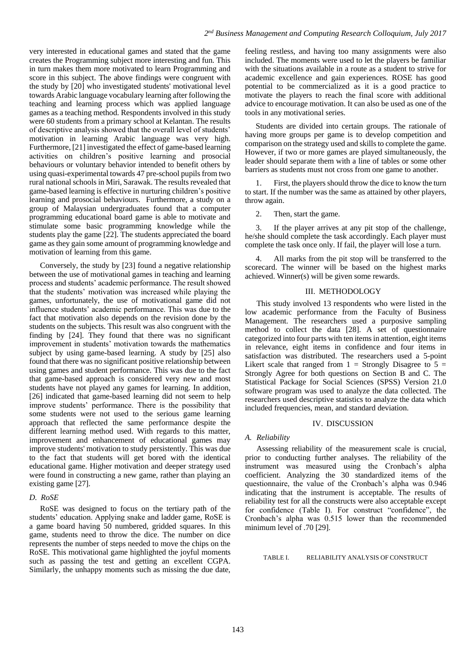very interested in educational games and stated that the game creates the Programming subject more interesting and fun. This in turn makes them more motivated to learn Programming and score in this subject. The above findings were congruent with the study by [20] who investigated students' motivational level towards Arabic language vocabulary learning after following the teaching and learning process which was applied language games as a teaching method. Respondents involved in this study were 60 students from a primary school at Kelantan. The results of descriptive analysis showed that the overall level of students' motivation in learning Arabic language was very high. Furthermore, [21] investigated the effect of game-based learning activities on children's positive learning and prosocial behaviours or voluntary behavior intended to benefit others by using quasi-experimental towards 47 pre-school pupils from two rural national schools in Miri, Sarawak. The results revealed that game-based learning is effective in nurturing children's positive learning and prosocial behaviours. Furthermore, a study on a group of Malaysian undergraduates found that a computer programming educational board game is able to motivate and stimulate some basic programming knowledge while the students play the game [22]. The students appreciated the board game as they gain some amount of programming knowledge and motivation of learning from this game.

Conversely, the study by [23] found a negative relationship between the use of motivational games in teaching and learning process and students' academic performance. The result showed that the students' motivation was increased while playing the games, unfortunately, the use of motivational game did not influence students' academic performance. This was due to the fact that motivation also depends on the revision done by the students on the subjects. This result was also congruent with the finding by [24]. They found that there was no significant improvement in students' motivation towards the mathematics subject by using game-based learning. A study by [25] also found that there was no significant positive relationship between using games and student performance. This was due to the fact that game-based approach is considered very new and most students have not played any games for learning. In addition, [26] indicated that game-based learning did not seem to help improve students' performance. There is the possibility that some students were not used to the serious game learning approach that reflected the same performance despite the different learning method used. With regards to this matter, improvement and enhancement of educational games may improve students' motivation to study persistently. This was due to the fact that students will get bored with the identical educational game. Higher motivation and deeper strategy used were found in constructing a new game, rather than playing an existing game [27].

# *D. RoSE*

RoSE was designed to focus on the tertiary path of the students' education. Applying snake and ladder game, RoSE is a game board having 50 numbered, gridded squares. In this game, students need to throw the dice. The number on dice represents the number of steps needed to move the chips on the RoSE. This motivational game highlighted the joyful moments such as passing the test and getting an excellent CGPA. Similarly, the unhappy moments such as missing the due date,

feeling restless, and having too many assignments were also included. The moments were used to let the players be familiar with the situations available in a route as a student to strive for academic excellence and gain experiences. ROSE has good potential to be commercialized as it is a good practice to motivate the players to reach the final score with additional advice to encourage motivation. It can also be used as one of the tools in any motivational series.

Students are divided into certain groups. The rationale of having more groups per game is to develop competition and comparison on the strategy used and skills to complete the game. However, if two or more games are played simultaneously, the leader should separate them with a line of tables or some other barriers as students must not cross from one game to another.

1. First, the players should throw the dice to know the turn to start. If the number was the same as attained by other players, throw again.

2. Then, start the game.

3. If the player arrives at any pit stop of the challenge, he/she should complete the task accordingly. Each player must complete the task once only. If fail, the player will lose a turn.

All marks from the pit stop will be transferred to the scorecard. The winner will be based on the highest marks achieved. Winner(s) will be given some rewards.

#### III. METHODOLOGY

This study involved 13 respondents who were listed in the low academic performance from the Faculty of Business Management. The researchers used a purposive sampling method to collect the data [28]. A set of questionnaire categorized into four parts with ten items in attention, eight items in relevance, eight items in confidence and four items in satisfaction was distributed. The researchers used a 5-point Likert scale that ranged from  $1 =$  Strongly Disagree to  $5 =$ Strongly Agree for both questions on Section B and C. The Statistical Package for Social Sciences (SPSS) Version 21.0 software program was used to analyze the data collected. The researchers used descriptive statistics to analyze the data which included frequencies, mean, and standard deviation.

# IV. DISCUSSION

#### *A. Reliability*

Assessing reliability of the measurement scale is crucial, prior to conducting further analyses. The reliability of the instrument was measured using the Cronbach's alpha coefficient. Analyzing the 30 standardized items of the questionnaire, the value of the Cronbach's alpha was 0.946 indicating that the instrument is acceptable. The results of reliability test for all the constructs were also acceptable except for confidence (Table I). For construct "confidence", the Cronbach's alpha was 0.515 lower than the recommended minimum level of .70 [29].

TABLE I. RELIABILITY ANALYSIS OF CONSTRUCT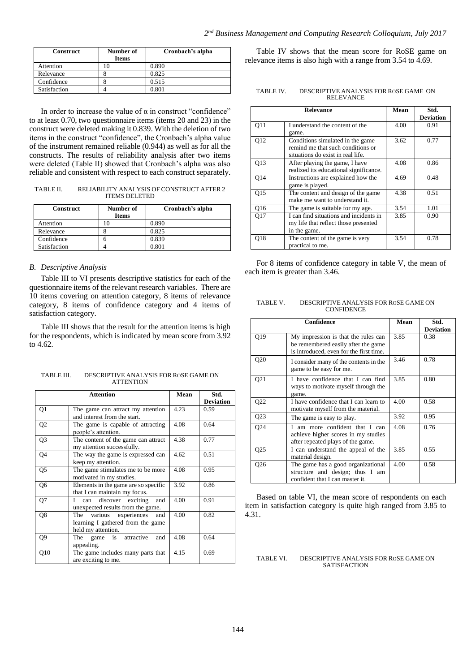| <b>Construct</b> | Number of    | Cronbach's alpha |
|------------------|--------------|------------------|
|                  | <b>Items</b> |                  |
| Attention        |              | 0.890            |
| Relevance        |              | 0.825            |
| Confidence       |              | 0.515            |
| Satisfaction     |              | ን ጸበ1            |

In order to increase the value of α in construct "confidence" to at least 0.70, two questionnaire items (items 20 and 23) in the construct were deleted making it 0.839. With the deletion of two items in the construct "confidence", the Cronbach's alpha value of the instrument remained reliable (0.944) as well as for all the constructs. The results of reliability analysis after two items were deleted (Table II) showed that Cronbach's alpha was also reliable and consistent with respect to each construct separately.

TABLE II. RELIABILITY ANALYSIS OF CONSTRUCT AFTER 2 ITEMS DELETED

| <b>Construct</b> | Number of    | Cronbach's alpha |
|------------------|--------------|------------------|
|                  | <b>Items</b> |                  |
| Attention        |              | 0.890            |
| Relevance        |              | 0.825            |
| Confidence       |              | 0.839            |
| Satisfaction     |              | 0.801            |

#### *B. Descriptive Analysis*

Table III to VI presents descriptive statistics for each of the questionnaire items of the relevant research variables. There are 10 items covering on attention category, 8 items of relevance category, 8 items of confidence category and 4 items of satisfaction category.

Table III shows that the result for the attention items is high for the respondents, which is indicated by mean score from 3.92 to 4.62.

| TABLE III. | DESCRIPTIVE ANALYSIS FOR ROSE GAME ON |
|------------|---------------------------------------|
|            | <b>ATTENTION</b>                      |

| <b>Attention</b> |                                      | Mean | Std.             |
|------------------|--------------------------------------|------|------------------|
|                  |                                      |      | <b>Deviation</b> |
| Q1               | The game can attract my attention    | 4.23 | 0.59             |
|                  | and interest from the start.         |      |                  |
| Q <sub>2</sub>   | The game is capable of attracting    | 4.08 | 0.64             |
|                  | people's attention.                  |      |                  |
| Q <sub>3</sub>   | The content of the game can attract  | 4.38 | 0.77             |
|                  | my attention successfully.           |      |                  |
| Q4               | The way the game is expressed can    | 4.62 | 0.51             |
|                  | keep my attention.                   |      |                  |
| Q5               | The game stimulates me to be more    | 4.08 | 0.95             |
|                  | motivated in my studies.             |      |                  |
| Q6               | Elements in the game are so specific | 3.92 | 0.86             |
|                  | that I can maintain my focus.        |      |                  |
| Q7               | I can discover exciting<br>and       | 4.00 | 0.91             |
|                  | unexpected results from the game.    |      |                  |
| Q8               | The various experiences<br>and       | 4.00 | 0.82             |
|                  | learning I gathered from the game    |      |                  |
|                  | held my attention.                   |      |                  |
| Q9               | game is attractive<br>The<br>and     | 4.08 | 0.64             |
|                  | appealing.                           |      |                  |
| Q10              | The game includes many parts that    | 4.15 | 0.69             |
|                  | are exciting to me.                  |      |                  |

Table IV shows that the mean score for RoSE game on relevance items is also high with a range from 3.54 to 4.69.

| TABLE IV. | DESCRIPTIVE ANALYSIS FOR ROSE GAME ON |
|-----------|---------------------------------------|
|           | <b>RELEVANCE</b>                      |

|                 | <b>Relevance</b>                                                                                           | Mean | Std.<br><b>Deviation</b> |
|-----------------|------------------------------------------------------------------------------------------------------------|------|--------------------------|
| O11             | I understand the content of the<br>game.                                                                   | 4.00 | 0.91                     |
| O <sub>12</sub> | Conditions simulated in the game<br>remind me that such conditions or<br>situations do exist in real life. | 3.62 | 0.77                     |
| O13             | After playing the game, I have<br>realized its educational significance.                                   | 4.08 | 0.86                     |
| 014             | Instructions are explained how the<br>game is played.                                                      | 4.69 | 0.48                     |
| 015             | The content and design of the game<br>make me want to understand it.                                       | 4.38 | 0.51                     |
| Q16             | The game is suitable for my age.                                                                           | 3.54 | 1.01                     |
| 017             | I can find situations and incidents in<br>my life that reflect those presented<br>in the game.             | 3.85 | 0.90                     |
| <b>O18</b>      | The content of the game is very<br>practical to me.                                                        | 3.54 | 0.78                     |

For 8 items of confidence category in table V, the mean of each item is greater than 3.46.

| TABLE V. | DESCRIPTIVE ANALYSIS FOR ROSE GAME ON |
|----------|---------------------------------------|
|          | <b>CONFIDENCE</b>                     |

| Confidence      |                                                                                                                       | Mean | Std.<br><b>Deviation</b> |
|-----------------|-----------------------------------------------------------------------------------------------------------------------|------|--------------------------|
| Q19             | My impression is that the rules can<br>be remembered easily after the game<br>is introduced, even for the first time. | 3.85 | 0.38                     |
| Q20             | I consider many of the contents in the<br>game to be easy for me.                                                     | 3.46 | 0.78                     |
| Q <sub>21</sub> | I have confidence that I can find<br>ways to motivate myself through the<br>game.                                     | 3.85 | 0.80                     |
| Q22             | I have confidence that I can learn to<br>motivate myself from the material.                                           | 4.00 | 0.58                     |
| Q23             | The game is easy to play.                                                                                             | 3.92 | 0.95                     |
| Q24             | am more confident that I can<br>achieve higher scores in my studies<br>after repeated plays of the game.              | 4.08 | 0.76                     |
| Q <sub>25</sub> | I can understand the appeal of the<br>material design.                                                                | 3.85 | 0.55                     |
| Q26             | The game has a good organizational<br>structure and design; thus I am<br>confident that I can master it.              | 4.00 | 0.58                     |

Based on table VI, the mean score of respondents on each item in satisfaction category is quite high ranged from 3.85 to 4.31.

TABLE VI. DESCRIPTIVE ANALYSIS FOR ROSE GAME ON **SATISFACTION**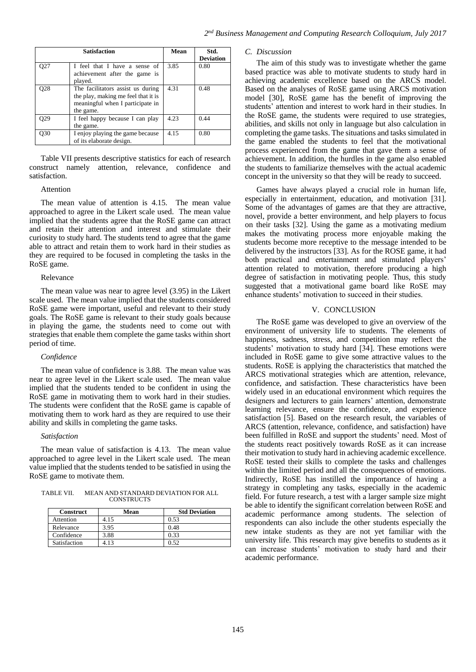|     | <b>Satisfaction</b>                                                                                                       | Mean | Std.<br><b>Deviation</b> |
|-----|---------------------------------------------------------------------------------------------------------------------------|------|--------------------------|
| 027 | I feel that I have a sense of<br>achievement after the game is<br>played.                                                 | 3.85 | 0.80                     |
| 028 | The facilitators assist us during<br>the play, making me feel that it is<br>meaningful when I participate in<br>the game. | 4.31 | 0.48                     |
| O29 | I feel happy because I can play<br>the game.                                                                              | 4.23 | 0.44                     |
| О30 | I enjoy playing the game because<br>of its elaborate design.                                                              | 4.15 | 0.80                     |

Table VII presents descriptive statistics for each of research construct namely attention, relevance, confidence and satisfaction.

## Attention

The mean value of attention is 4.15. The mean value approached to agree in the Likert scale used. The mean value implied that the students agree that the RoSE game can attract and retain their attention and interest and stimulate their curiosity to study hard. The students tend to agree that the game able to attract and retain them to work hard in their studies as they are required to be focused in completing the tasks in the RoSE game.

#### Relevance

The mean value was near to agree level (3.95) in the Likert scale used. The mean value implied that the students considered RoSE game were important, useful and relevant to their study goals. The RoSE game is relevant to their study goals because in playing the game, the students need to come out with strategies that enable them complete the game tasks within short period of time.

#### *Confidence*

The mean value of confidence is 3.88. The mean value was near to agree level in the Likert scale used. The mean value implied that the students tended to be confident in using the RoSE game in motivating them to work hard in their studies. The students were confident that the RoSE game is capable of motivating them to work hard as they are required to use their ability and skills in completing the game tasks.

#### *Satisfaction*

The mean value of satisfaction is 4.13. The mean value approached to agree level in the Likert scale used. The mean value implied that the students tended to be satisfied in using the RoSE game to motivate them.

| TABLE VII. | MEAN AND STANDARD DEVIATION FOR ALL |
|------------|-------------------------------------|
|            | <b>CONSTRUCTS</b>                   |

| <b>Construct</b> | Mean | <b>Std Deviation</b> |
|------------------|------|----------------------|
| Attention        | 4.15 | 0.53                 |
| Relevance        | 3.95 | 0.48                 |
| Confidence       | 3.88 | 0.33                 |
| Satisfaction     | 4.13 | 0.52                 |

#### *C. Discussion*

The aim of this study was to investigate whether the game based practice was able to motivate students to study hard in achieving academic excellence based on the ARCS model. Based on the analyses of RoSE game using ARCS motivation model [30], RoSE game has the benefit of improving the students' attention and interest to work hard in their studies. In the RoSE game, the students were required to use strategies, abilities, and skills not only in language but also calculation in completing the game tasks. The situations and tasks simulated in the game enabled the students to feel that the motivational process experienced from the game that gave them a sense of achievement. In addition, the hurdles in the game also enabled the students to familiarize themselves with the actual academic concept in the university so that they will be ready to succeed.

Games have always played a crucial role in human life, especially in entertainment, education, and motivation [31]. Some of the advantages of games are that they are attractive, novel, provide a better environment, and help players to focus on their tasks [32]. Using the game as a motivating medium makes the motivating process more enjoyable making the students become more receptive to the message intended to be delivered by the instructors [33]. As for the ROSE game, it had both practical and entertainment and stimulated players' attention related to motivation, therefore producing a high degree of satisfaction in motivating people. Thus, this study suggested that a motivational game board like RoSE may enhance students' motivation to succeed in their studies.

## V. CONCLUSION

The RoSE game was developed to give an overview of the environment of university life to students. The elements of happiness, sadness, stress, and competition may reflect the students' motivation to study hard [34]. These emotions were included in RoSE game to give some attractive values to the students. RoSE is applying the characteristics that matched the ARCS motivational strategies which are attention, relevance, confidence, and satisfaction. These characteristics have been widely used in an educational environment which requires the designers and lecturers to gain learners' attention, demonstrate learning relevance, ensure the confidence, and experience satisfaction [5]. Based on the research result, the variables of ARCS (attention, relevance, confidence, and satisfaction) have been fulfilled in RoSE and support the students' need. Most of the students react positively towards RoSE as it can increase their motivation to study hard in achieving academic excellence. RoSE tested their skills to complete the tasks and challenges within the limited period and all the consequences of emotions. Indirectly, RoSE has instilled the importance of having a strategy in completing any tasks, especially in the academic field. For future research, a test with a larger sample size might be able to identify the significant correlation between RoSE and academic performance among students. The selection of respondents can also include the other students especially the new intake students as they are not yet familiar with the university life. This research may give benefits to students as it can increase students' motivation to study hard and their academic performance.